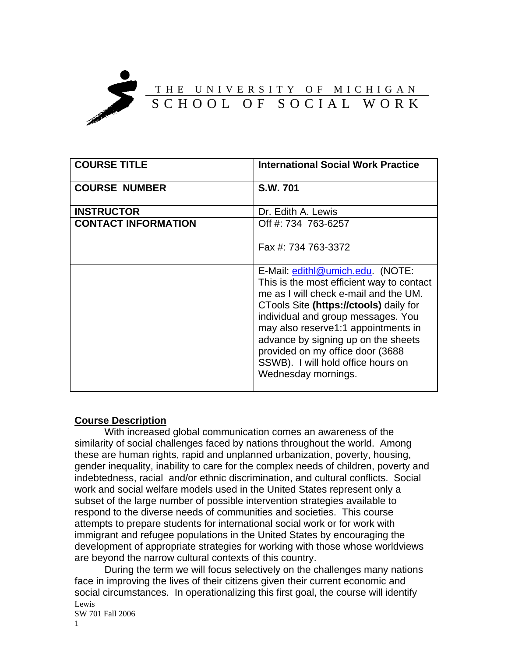

| <b>COURSE TITLE</b>        | <b>International Social Work Practice</b>                                                                                                                                                                                                                                                                                                                                             |
|----------------------------|---------------------------------------------------------------------------------------------------------------------------------------------------------------------------------------------------------------------------------------------------------------------------------------------------------------------------------------------------------------------------------------|
| <b>COURSE NUMBER</b>       | S.W. 701                                                                                                                                                                                                                                                                                                                                                                              |
| <b>INSTRUCTOR</b>          | Dr. Edith A. Lewis                                                                                                                                                                                                                                                                                                                                                                    |
| <b>CONTACT INFORMATION</b> | Off #: 734 763-6257                                                                                                                                                                                                                                                                                                                                                                   |
|                            | Fax #: 734 763-3372                                                                                                                                                                                                                                                                                                                                                                   |
|                            | E-Mail: edithl@umich.edu. (NOTE:<br>This is the most efficient way to contact<br>me as I will check e-mail and the UM.<br>CTools Site (https://ctools) daily for<br>individual and group messages. You<br>may also reserve1:1 appointments in<br>advance by signing up on the sheets<br>provided on my office door (3688<br>SSWB). I will hold office hours on<br>Wednesday mornings. |

#### **Course Description**

With increased global communication comes an awareness of the similarity of social challenges faced by nations throughout the world. Among these are human rights, rapid and unplanned urbanization, poverty, housing, gender inequality, inability to care for the complex needs of children, poverty and indebtedness, racial and/or ethnic discrimination, and cultural conflicts. Social work and social welfare models used in the United States represent only a subset of the large number of possible intervention strategies available to respond to the diverse needs of communities and societies. This course attempts to prepare students for international social work or for work with immigrant and refugee populations in the United States by encouraging the development of appropriate strategies for working with those whose worldviews are beyond the narrow cultural contexts of this country.

Lewis SW 701 Fall 2006 During the term we will focus selectively on the challenges many nations face in improving the lives of their citizens given their current economic and social circumstances. In operationalizing this first goal, the course will identify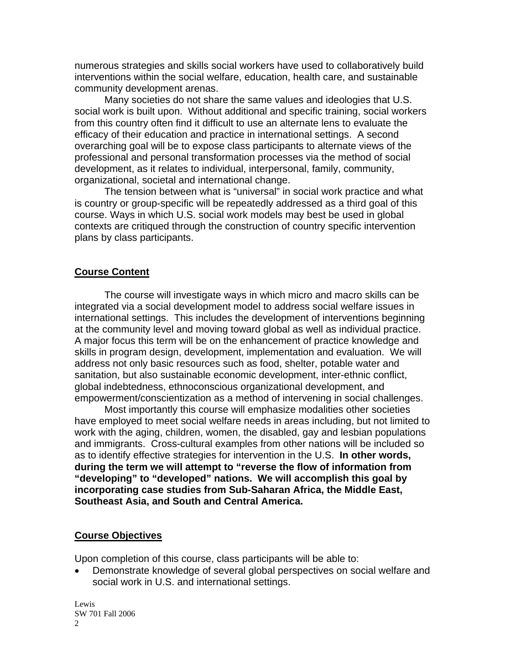numerous strategies and skills social workers have used to collaboratively build interventions within the social welfare, education, health care, and sustainable community development arenas.

Many societies do not share the same values and ideologies that U.S. social work is built upon. Without additional and specific training, social workers from this country often find it difficult to use an alternate lens to evaluate the efficacy of their education and practice in international settings. A second overarching goal will be to expose class participants to alternate views of the professional and personal transformation processes via the method of social development, as it relates to individual, interpersonal, family, community, organizational, societal and international change.

The tension between what is "universal" in social work practice and what is country or group-specific will be repeatedly addressed as a third goal of this course. Ways in which U.S. social work models may best be used in global contexts are critiqued through the construction of country specific intervention plans by class participants.

#### **Course Content**

The course will investigate ways in which micro and macro skills can be integrated via a social development model to address social welfare issues in international settings. This includes the development of interventions beginning at the community level and moving toward global as well as individual practice. A major focus this term will be on the enhancement of practice knowledge and skills in program design, development, implementation and evaluation. We will address not only basic resources such as food, shelter, potable water and sanitation, but also sustainable economic development, inter-ethnic conflict, global indebtedness, ethnoconscious organizational development, and empowerment/conscientization as a method of intervening in social challenges.

Most importantly this course will emphasize modalities other societies have employed to meet social welfare needs in areas including, but not limited to work with the aging, children, women, the disabled, gay and lesbian populations and immigrants. Cross-cultural examples from other nations will be included so as to identify effective strategies for intervention in the U.S. **In other words, during the term we will attempt to "reverse the flow of information from "developing" to "developed" nations. We will accomplish this goal by incorporating case studies from Sub-Saharan Africa, the Middle East, Southeast Asia, and South and Central America.** 

#### **Course Objectives**

Upon completion of this course, class participants will be able to:

• Demonstrate knowledge of several global perspectives on social welfare and social work in U.S. and international settings.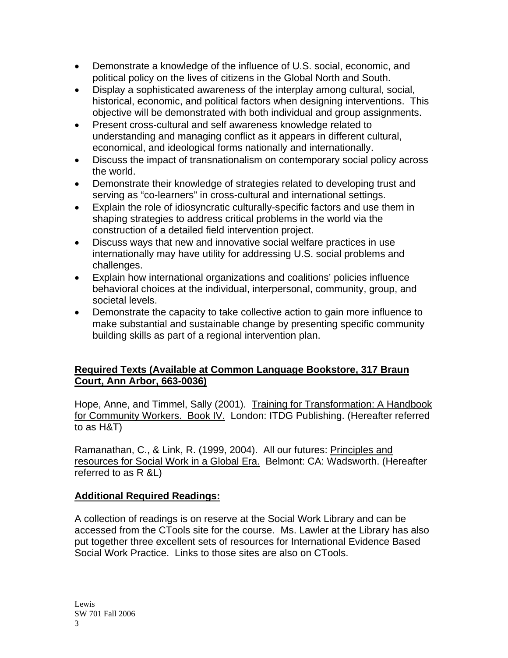- Demonstrate a knowledge of the influence of U.S. social, economic, and political policy on the lives of citizens in the Global North and South.
- Display a sophisticated awareness of the interplay among cultural, social, historical, economic, and political factors when designing interventions. This objective will be demonstrated with both individual and group assignments.
- Present cross-cultural and self awareness knowledge related to understanding and managing conflict as it appears in different cultural, economical, and ideological forms nationally and internationally.
- Discuss the impact of transnationalism on contemporary social policy across the world.
- Demonstrate their knowledge of strategies related to developing trust and serving as "co-learners" in cross-cultural and international settings.
- Explain the role of idiosyncratic culturally-specific factors and use them in shaping strategies to address critical problems in the world via the construction of a detailed field intervention project.
- Discuss ways that new and innovative social welfare practices in use internationally may have utility for addressing U.S. social problems and challenges.
- Explain how international organizations and coalitions' policies influence behavioral choices at the individual, interpersonal, community, group, and societal levels.
- Demonstrate the capacity to take collective action to gain more influence to make substantial and sustainable change by presenting specific community building skills as part of a regional intervention plan.

## **Required Texts (Available at Common Language Bookstore, 317 Braun Court, Ann Arbor, 663-0036)**

Hope, Anne, and Timmel, Sally (2001). Training for Transformation: A Handbook for Community Workers. Book IV. London: ITDG Publishing. (Hereafter referred to as H&T)

Ramanathan, C., & Link, R. (1999, 2004). All our futures: Principles and resources for Social Work in a Global Era. Belmont: CA: Wadsworth. (Hereafter referred to as R &L)

## **Additional Required Readings:**

A collection of readings is on reserve at the Social Work Library and can be accessed from the CTools site for the course. Ms. Lawler at the Library has also put together three excellent sets of resources for International Evidence Based Social Work Practice. Links to those sites are also on CTools.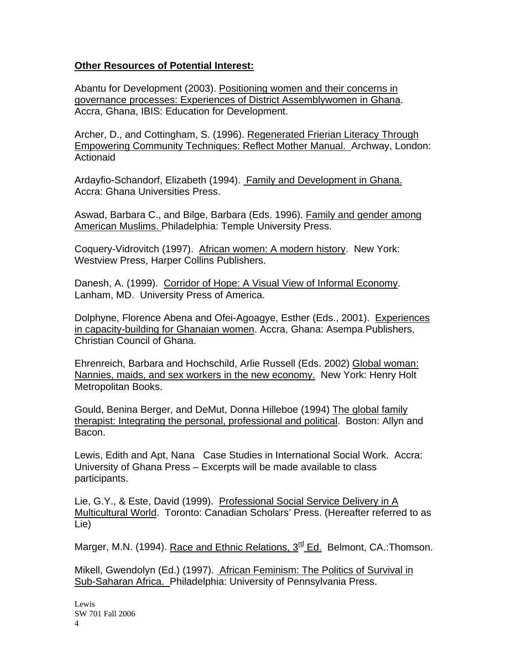### **Other Resources of Potential Interest:**

Abantu for Development (2003). Positioning women and their concerns in governance processes: Experiences of District Assemblywomen in Ghana. Accra, Ghana, IBIS: Education for Development.

Archer, D., and Cottingham, S. (1996). Regenerated Frierian Literacy Through Empowering Community Techniques: Reflect Mother Manual. Archway, London: **Actionaid** 

Ardayfio-Schandorf, Elizabeth (1994). Family and Development in Ghana. Accra: Ghana Universities Press.

Aswad, Barbara C., and Bilge, Barbara (Eds. 1996). Family and gender among American Muslims. Philadelphia: Temple University Press.

Coquery-Vidrovitch (1997). African women: A modern history. New York: Westview Press, Harper Collins Publishers.

Danesh, A. (1999). Corridor of Hope: A Visual View of Informal Economy. Lanham, MD. University Press of America.

Dolphyne, Florence Abena and Ofei-Agoagye, Esther (Eds., 2001). Experiences in capacity-building for Ghanaian women. Accra, Ghana: Asempa Publishers, Christian Council of Ghana.

Ehrenreich, Barbara and Hochschild, Arlie Russell (Eds. 2002) Global woman: Nannies, maids, and sex workers in the new economy. New York: Henry Holt Metropolitan Books.

Gould, Benina Berger, and DeMut, Donna Hilleboe (1994) The global family therapist: Integrating the personal, professional and political. Boston: Allyn and Bacon.

Lewis, Edith and Apt, Nana Case Studies in International Social Work. Accra: University of Ghana Press – Excerpts will be made available to class participants.

Lie, G.Y., & Este, David (1999). Professional Social Service Delivery in A Multicultural World. Toronto: Canadian Scholars' Press. (Hereafter referred to as Lie)

Marger, M.N. (1994). Race and Ethnic Relations, 3<sup>rd</sup> Ed. Belmont, CA.: Thomson.

Mikell, Gwendolyn (Ed.) (1997). African Feminism: The Politics of Survival in Sub-Saharan Africa. Philadelphia: University of Pennsylvania Press.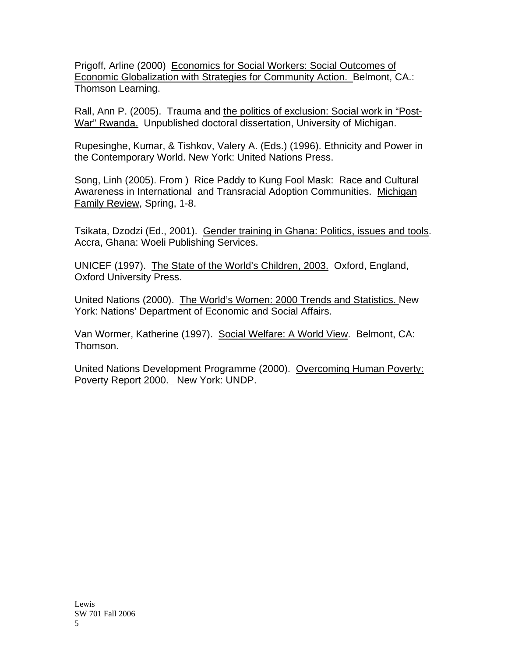Prigoff, Arline (2000) Economics for Social Workers: Social Outcomes of Economic Globalization with Strategies for Community Action. Belmont, CA.: Thomson Learning.

Rall, Ann P. (2005). Trauma and the politics of exclusion: Social work in "Post-War" Rwanda. Unpublished doctoral dissertation, University of Michigan.

Rupesinghe, Kumar, & Tishkov, Valery A. (Eds.) (1996). Ethnicity and Power in the Contemporary World. New York: United Nations Press.

Song, Linh (2005). From ) Rice Paddy to Kung Fool Mask: Race and Cultural Awareness in International and Transracial Adoption Communities. Michigan Family Review, Spring, 1-8.

Tsikata, Dzodzi (Ed., 2001). Gender training in Ghana: Politics, issues and tools. Accra, Ghana: Woeli Publishing Services.

UNICEF (1997). The State of the World's Children, 2003. Oxford, England, Oxford University Press.

United Nations (2000). The World's Women: 2000 Trends and Statistics. New York: Nations' Department of Economic and Social Affairs.

Van Wormer, Katherine (1997). Social Welfare: A World View. Belmont, CA: Thomson.

United Nations Development Programme (2000). Overcoming Human Poverty: Poverty Report 2000. New York: UNDP.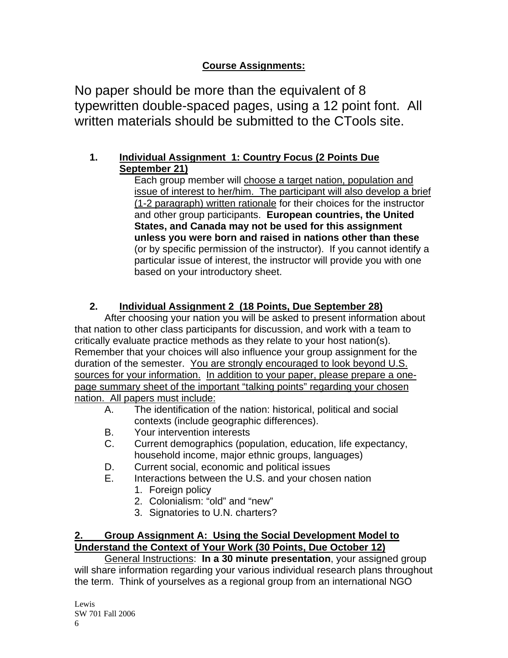# **Course Assignments:**

No paper should be more than the equivalent of 8 typewritten double-spaced pages, using a 12 point font. All written materials should be submitted to the CTools site.

# **1. Individual Assignment 1: Country Focus (2 Points Due September 21)**

Each group member will choose a target nation, population and issue of interest to her/him. The participant will also develop a brief (1-2 paragraph) written rationale for their choices for the instructor and other group participants. **European countries, the United States, and Canada may not be used for this assignment unless you were born and raised in nations other than these** (or by specific permission of the instructor). If you cannot identify a particular issue of interest, the instructor will provide you with one based on your introductory sheet.

# **2. Individual Assignment 2 (18 Points, Due September 28)**

After choosing your nation you will be asked to present information about that nation to other class participants for discussion, and work with a team to critically evaluate practice methods as they relate to your host nation(s). Remember that your choices will also influence your group assignment for the duration of the semester. You are strongly encouraged to look beyond U.S. sources for your information. In addition to your paper, please prepare a onepage summary sheet of the important "talking points" regarding your chosen nation. All papers must include:

- A. The identification of the nation: historical, political and social contexts (include geographic differences).
- B. Your intervention interests
- C. Current demographics (population, education, life expectancy, household income, major ethnic groups, languages)
- D. Current social, economic and political issues
- E. Interactions between the U.S. and your chosen nation
	- 1. Foreign policy
	- 2. Colonialism: "old" and "new"
	- 3. Signatories to U.N. charters?

# **2. Group Assignment A: Using the Social Development Model to Understand the Context of Your Work (30 Points, Due October 12)**

General Instructions: **In a 30 minute presentation**, your assigned group will share information regarding your various individual research plans throughout the term. Think of yourselves as a regional group from an international NGO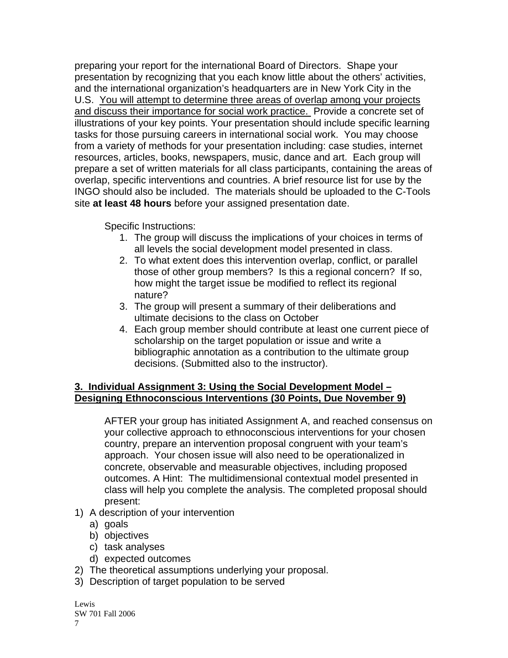preparing your report for the international Board of Directors. Shape your presentation by recognizing that you each know little about the others' activities, and the international organization's headquarters are in New York City in the U.S. You will attempt to determine three areas of overlap among your projects and discuss their importance for social work practice. Provide a concrete set of illustrations of your key points. Your presentation should include specific learning tasks for those pursuing careers in international social work. You may choose from a variety of methods for your presentation including: case studies, internet resources, articles, books, newspapers, music, dance and art. Each group will prepare a set of written materials for all class participants, containing the areas of overlap, specific interventions and countries. A brief resource list for use by the INGO should also be included. The materials should be uploaded to the C-Tools site **at least 48 hours** before your assigned presentation date.

Specific Instructions:

- 1. The group will discuss the implications of your choices in terms of all levels the social development model presented in class.
- 2. To what extent does this intervention overlap, conflict, or parallel those of other group members? Is this a regional concern? If so, how might the target issue be modified to reflect its regional nature?
- 3. The group will present a summary of their deliberations and ultimate decisions to the class on October
- 4. Each group member should contribute at least one current piece of scholarship on the target population or issue and write a bibliographic annotation as a contribution to the ultimate group decisions. (Submitted also to the instructor).

## **3. Individual Assignment 3: Using the Social Development Model – Designing Ethnoconscious Interventions (30 Points, Due November 9)**

AFTER your group has initiated Assignment A, and reached consensus on your collective approach to ethnoconscious interventions for your chosen country, prepare an intervention proposal congruent with your team's approach. Your chosen issue will also need to be operationalized in concrete, observable and measurable objectives, including proposed outcomes. A Hint: The multidimensional contextual model presented in class will help you complete the analysis. The completed proposal should present:

- 1) A description of your intervention
	- a) goals
	- b) objectives
	- c) task analyses
	- d) expected outcomes
- 2) The theoretical assumptions underlying your proposal.
- 3) Description of target population to be served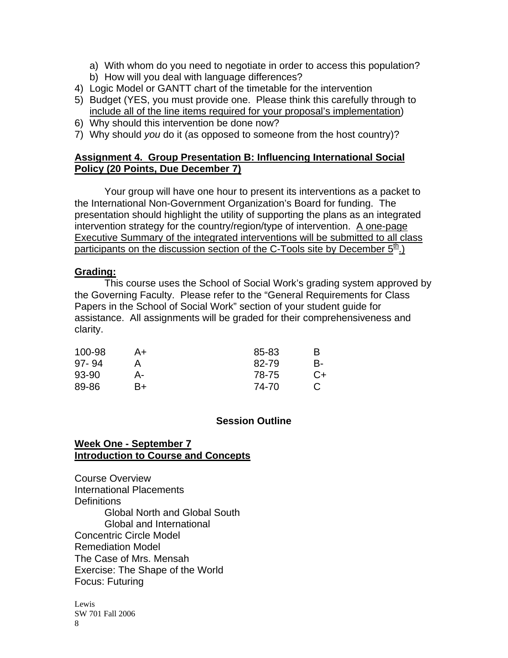- a) With whom do you need to negotiate in order to access this population?
- b) How will you deal with language differences?
- 4) Logic Model or GANTT chart of the timetable for the intervention
- 5) Budget (YES, you must provide one. Please think this carefully through to include all of the line items required for your proposal's implementation)
- 6) Why should this intervention be done now?
- 7) Why should *you* do it (as opposed to someone from the host country)?

#### **Assignment 4. Group Presentation B: Influencing International Social Policy (20 Points, Due December 7)**

Your group will have one hour to present its interventions as a packet to the International Non-Government Organization's Board for funding. The presentation should highlight the utility of supporting the plans as an integrated intervention strategy for the country/region/type of intervention. A one-page Executive Summary of the integrated interventions will be submitted to all class participants on the discussion section of the C-Tools site by December  $5<sup>th</sup>$ .)

#### **Grading:**

This course uses the School of Social Work's grading system approved by the Governing Faculty. Please refer to the "General Requirements for Class Papers in the School of Social Work" section of your student guide for assistance. All assignments will be graded for their comprehensiveness and clarity.

| 100-98    | A+ | 85-83 | в  |
|-----------|----|-------|----|
| $97 - 94$ |    | 82-79 | B- |
| 93-90     | А- | 78-75 | C+ |
| 89-86     | B+ | 74-70 |    |

## **Session Outline**

#### **Week One - September 7 Introduction to Course and Concepts**

Course Overview International Placements **Definitions** Global North and Global South Global and International Concentric Circle Model Remediation Model The Case of Mrs. Mensah Exercise: The Shape of the World Focus: Futuring

Lewis SW 701 Fall 2006 8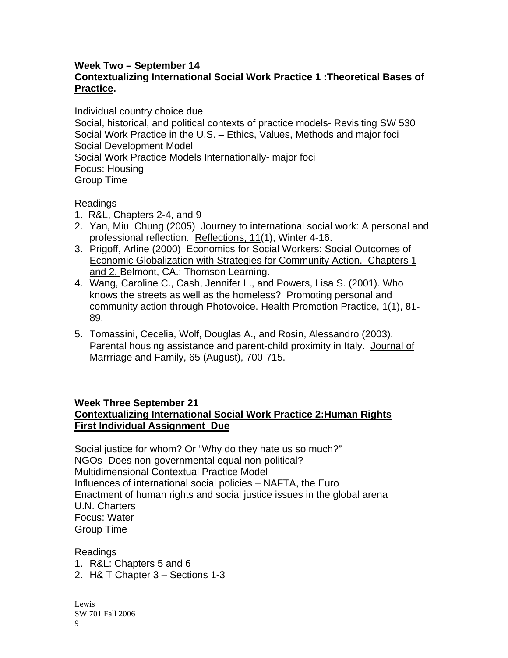#### **Week Two – September 14 Contextualizing International Social Work Practice 1 :Theoretical Bases of Practice.**

Individual country choice due Social, historical, and political contexts of practice models- Revisiting SW 530 Social Work Practice in the U.S. – Ethics, Values, Methods and major foci Social Development Model Social Work Practice Models Internationally- major foci Focus: Housing Group Time

Readings

- 1. R&L, Chapters 2-4, and 9
- 2. Yan, Miu Chung (2005) Journey to international social work: A personal and professional reflection. Reflections, 11(1), Winter 4-16.
- 3. Prigoff, Arline (2000) Economics for Social Workers: Social Outcomes of Economic Globalization with Strategies for Community Action. Chapters 1 and 2. Belmont, CA.: Thomson Learning.
- 4. Wang, Caroline C., Cash, Jennifer L., and Powers, Lisa S. (2001). Who knows the streets as well as the homeless? Promoting personal and community action through Photovoice. Health Promotion Practice, 1(1), 81- 89.
- 5. Tomassini, Cecelia, Wolf, Douglas A., and Rosin, Alessandro (2003). Parental housing assistance and parent-child proximity in Italy. Journal of Marrriage and Family, 65 (August), 700-715.

## **Week Three September 21**

## **Contextualizing International Social Work Practice 2:Human Rights First Individual Assignment Due**

Social justice for whom? Or "Why do they hate us so much?" NGOs- Does non-governmental equal non-political? Multidimensional Contextual Practice Model Influences of international social policies – NAFTA, the Euro Enactment of human rights and social justice issues in the global arena U.N. Charters Focus: Water Group Time

Readings 1. R&L: Chapters 5 and 6 2. H& T Chapter 3 – Sections 1-3

Lewis SW 701 Fall 2006 9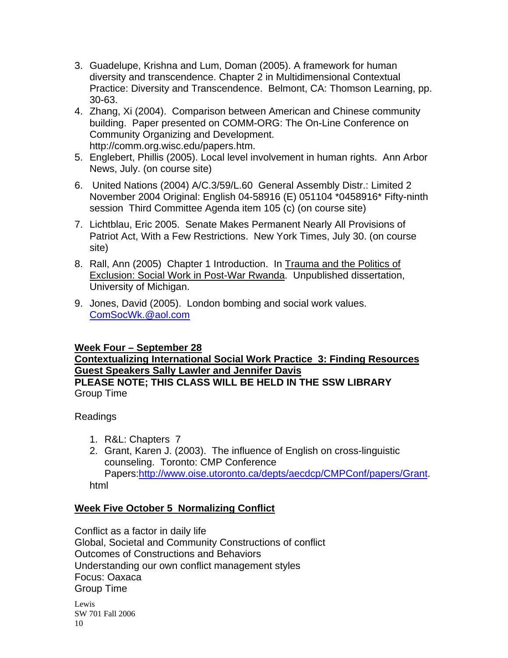- 3. Guadelupe, Krishna and Lum, Doman (2005). A framework for human diversity and transcendence. Chapter 2 in Multidimensional Contextual Practice: Diversity and Transcendence. Belmont, CA: Thomson Learning, pp. 30-63.
- 4. Zhang, Xi (2004). Comparison between American and Chinese community building. Paper presented on COMM-ORG: The On-Line Conference on Community Organizing and Development. http://comm.org.wisc.edu/papers.htm.
- 5. Englebert, Phillis (2005). Local level involvement in human rights. Ann Arbor News, July. (on course site)
- 6. United Nations (2004) A/C.3/59/L.60 General Assembly Distr.: Limited 2 November 2004 Original: English 04-58916 (E) 051104 \*0458916\* Fifty-ninth session Third Committee Agenda item 105 (c) (on course site)
- 7. Lichtblau, Eric 2005. Senate Makes Permanent Nearly All Provisions of Patriot Act, With a Few Restrictions. New York Times, July 30. (on course site)
- 8. Rall, Ann (2005) Chapter 1 Introduction. In Trauma and the Politics of Exclusion: Social Work in Post-War Rwanda. Unpublished dissertation, University of Michigan.
- 9. Jones, David (2005). London bombing and social work values. [ComSocWk.@aol.com](mailto:ComSocWk.@aol.com)

#### **Week Four – September 28**

#### **Contextualizing International Social Work Practice 3: Finding Resources Guest Speakers Sally Lawler and Jennifer Davis PLEASE NOTE; THIS CLASS WILL BE HELD IN THE SSW LIBRARY**

Group Time

## Readings

- 1. R&L: Chapters 7
- 2. Grant, Karen J. (2003). The influence of English on cross-linguistic counseling. Toronto: CMP Conference Papers[:http://www.oise.utoronto.ca/depts/aecdcp/CMPConf/papers/Grant.](http://www.oise.utoronto.ca/depts/aecdcp/CMPConf/papers/Grant) html

## **Week Five October 5 Normalizing Conflict**

Conflict as a factor in daily life Global, Societal and Community Constructions of conflict Outcomes of Constructions and Behaviors Understanding our own conflict management styles Focus: Oaxaca Group Time Lewis SW 701 Fall 2006 10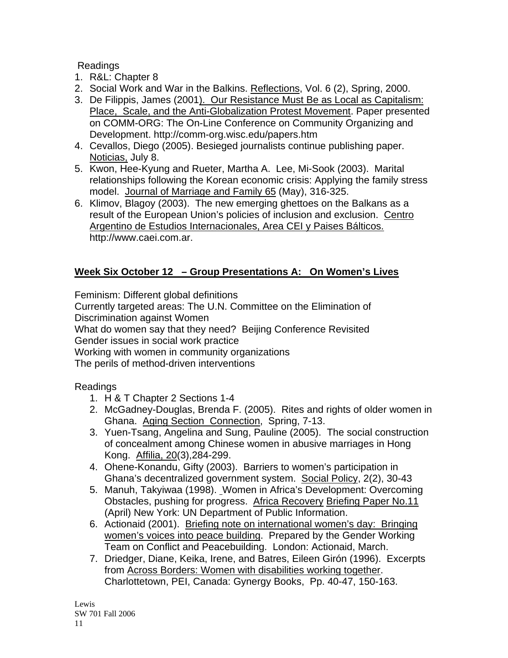Readings

- 1. R&L: Chapter 8
- 2. Social Work and War in the Balkins. Reflections, Vol. 6 (2), Spring, 2000.
- 3. De Filippis, James (2001). Our Resistance Must Be as Local as Capitalism: Place, Scale, and the Anti-Globalization Protest Movement. Paper presented on COMM-ORG: The On-Line Conference on Community Organizing and Development. http://comm-org.wisc.edu/papers.htm
- 4. Cevallos, Diego (2005). Besieged journalists continue publishing paper. Noticias, July 8.
- 5. Kwon, Hee-Kyung and Rueter, Martha A. Lee, Mi-Sook (2003). Marital relationships following the Korean economic crisis: Applying the family stress model. Journal of Marriage and Family 65 (May), 316-325.
- 6. Klimov, Blagoy (2003). The new emerging ghettoes on the Balkans as a result of the European Union's policies of inclusion and exclusion. Centro Argentino de Estudios Internacionales, Area CEI y Paises Bálticos. http://www.caei.com.ar.

# **Week Six October 12 – Group Presentations A: On Women's Lives**

Feminism: Different global definitions

Currently targeted areas: The U.N. Committee on the Elimination of

Discrimination against Women

What do women say that they need? Beijing Conference Revisited

Gender issues in social work practice

Working with women in community organizations

The perils of method-driven interventions

Readings

- 1. H & T Chapter 2 Sections 1-4
- 2. McGadney-Douglas, Brenda F. (2005). Rites and rights of older women in Ghana. Aging Section Connection, Spring, 7-13.
- 3. Yuen-Tsang, Angelina and Sung, Pauline (2005). The social construction of concealment among Chinese women in abusive marriages in Hong Kong. Affilia, 20(3),284-299.
- 4. Ohene-Konandu, Gifty (2003). Barriers to women's participation in Ghana's decentralized government system. Social Policy, 2(2), 30-43
- 5. Manuh, Takyiwaa (1998). Women in Africa's Development: Overcoming Obstacles, pushing for progress. Africa Recovery Briefing Paper No.11 (April) New York: UN Department of Public Information.
- 6. Actionaid (2001). Briefing note on international women's day: Bringing women's voices into peace building. Prepared by the Gender Working Team on Conflict and Peacebuilding. London: Actionaid, March.
- 7. Driedger, Diane, Keika, Irene, and Batres, Eileen Girón (1996). Excerpts from Across Borders: Women with disabilities working together. Charlottetown, PEI, Canada: Gynergy Books, Pp. 40-47, 150-163.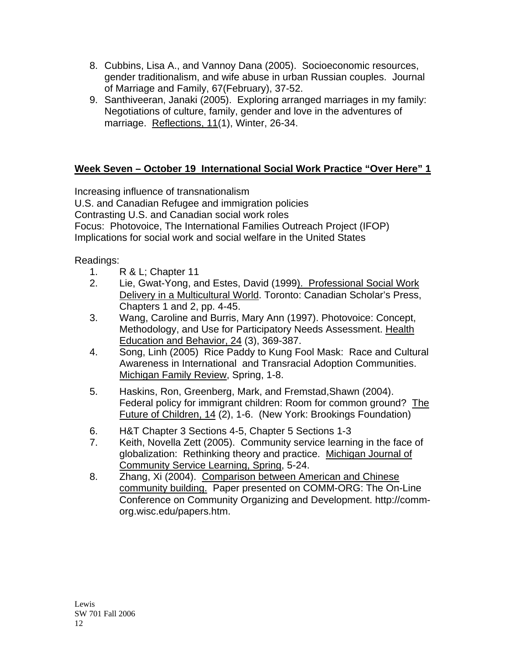- 8. Cubbins, Lisa A., and Vannoy Dana (2005). Socioeconomic resources, gender traditionalism, and wife abuse in urban Russian couples. Journal of Marriage and Family, 67(February), 37-52.
- 9. Santhiveeran, Janaki (2005). Exploring arranged marriages in my family: Negotiations of culture, family, gender and love in the adventures of marriage. Reflections, 11(1), Winter, 26-34.

# **Week Seven – October 19 International Social Work Practice "Over Here" 1**

Increasing influence of transnationalism U.S. and Canadian Refugee and immigration policies Contrasting U.S. and Canadian social work roles Focus: Photovoice, The International Families Outreach Project (IFOP) Implications for social work and social welfare in the United States

Readings:

- 1. R & L; Chapter 11
- 2. Lie, Gwat-Yong, and Estes, David (1999). Professional Social Work Delivery in a Multicultural World. Toronto: Canadian Scholar's Press, Chapters 1 and 2, pp. 4-45.
- 3. Wang, Caroline and Burris, Mary Ann (1997). Photovoice: Concept, Methodology, and Use for Participatory Needs Assessment. Health Education and Behavior, 24 (3), 369-387.
- 4. Song, Linh (2005) Rice Paddy to Kung Fool Mask: Race and Cultural Awareness in International and Transracial Adoption Communities. Michigan Family Review, Spring, 1-8.
- 5. Haskins, Ron, Greenberg, Mark, and Fremstad,Shawn (2004). Federal policy for immigrant children: Room for common ground? The Future of Children, 14 (2), 1-6. (New York: Brookings Foundation)
- 6. H&T Chapter 3 Sections 4-5, Chapter 5 Sections 1-3
- 7. Keith, Novella Zett (2005). Community service learning in the face of globalization: Rethinking theory and practice. Michigan Journal of Community Service Learning, Spring, 5-24.
- 8. Zhang, Xi (2004). Comparison between American and Chinese community building. Paper presented on COMM-ORG: The On-Line Conference on Community Organizing and Development. http://commorg.wisc.edu/papers.htm.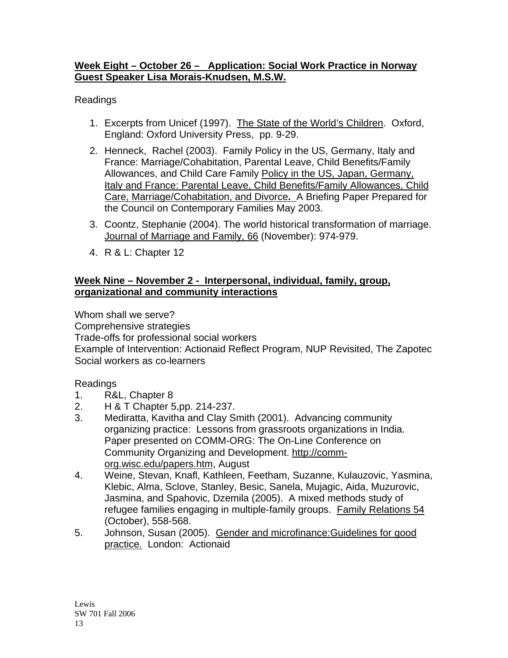### **Week Eight – October 26 – Application: Social Work Practice in Norway Guest Speaker Lisa Morais-Knudsen, M.S.W.**

Readings

- 1. Excerpts from Unicef (1997). The State of the World's Children. Oxford, England: Oxford University Press, pp. 9-29.
- 2. Henneck, Rachel (2003). Family Policy in the US, Germany, Italy and France: Marriage/Cohabitation, Parental Leave, Child Benefits/Family Allowances, and Child Care Family Policy in the US, Japan, Germany, Italy and France: Parental Leave, Child Benefits/Family Allowances, Child Care, Marriage/Cohabitation, and Divorce**.** A Briefing Paper Prepared for the Council on Contemporary Families May 2003.
- 3. Coontz, Stephanie (2004). The world historical transformation of marriage. Journal of Marriage and Family, 66 (November): 974-979.
- 4. R & L: Chapter 12

### **Week Nine – November 2 - Interpersonal, individual, family, group, organizational and community interactions**

Whom shall we serve?

Comprehensive strategies

Trade-offs for professional social workers

Example of Intervention: Actionaid Reflect Program, NUP Revisited, The Zapotec Social workers as co-learners

## Readings

- 1. R&L, Chapter 8
- 2. H & T Chapter 5,pp. 214-237.
- 3. Mediratta, Kavitha and Clay Smith (2001). Advancing community organizing practice: Lessons from grassroots organizations in India. Paper presented on COMM-ORG: The On-Line Conference on Community Organizing and Development. [http://comm](http://comm-org.wisc.edu/papers.htm)[org.wisc.edu/papers.htm,](http://comm-org.wisc.edu/papers.htm) August
- 4. Weine, Stevan, Knafl, Kathleen, Feetham, Suzanne, Kulauzovic, Yasmina, Klebic, Alma, Sclove, Stanley, Besic, Sanela, Mujagic, Aida, Muzurovic, Jasmina, and Spahovic, Dzemila (2005). A mixed methods study of refugee families engaging in multiple-family groups. Family Relations 54 (October), 558-568.
- 5. Johnson, Susan (2005). Gender and microfinance:Guidelines for good practice. London: Actionaid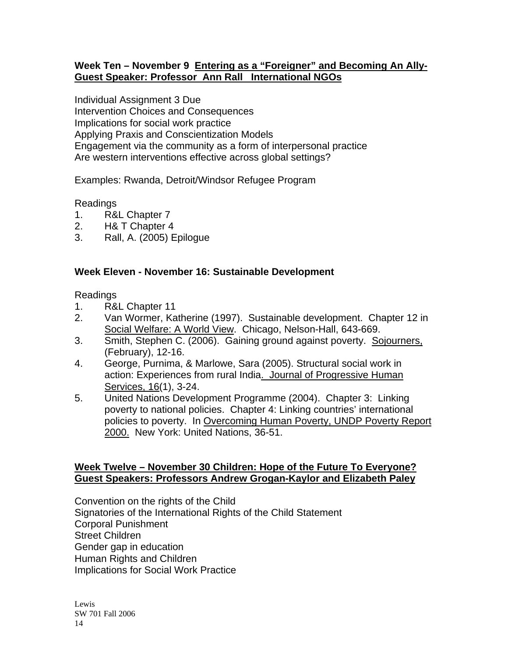#### **Week Ten – November 9 Entering as a "Foreigner" and Becoming An Ally-Guest Speaker: Professor Ann Rall International NGOs**

Individual Assignment 3 Due Intervention Choices and Consequences Implications for social work practice Applying Praxis and Conscientization Models Engagement via the community as a form of interpersonal practice Are western interventions effective across global settings?

Examples: Rwanda, Detroit/Windsor Refugee Program

#### Readings

- 1. R&L Chapter 7
- 2. H& T Chapter 4
- 3. Rall, A. (2005) Epilogue

#### **Week Eleven - November 16: Sustainable Development**

Readings

- 1. R&L Chapter 11
- 2. Van Wormer, Katherine (1997). Sustainable development. Chapter 12 in Social Welfare: A World View. Chicago, Nelson-Hall, 643-669.
- 3. Smith, Stephen C. (2006). Gaining ground against poverty. Sojourners, (February), 12-16.
- 4. George, Purnima, & Marlowe, Sara (2005). Structural social work in action: Experiences from rural India. Journal of Progressive Human Services, 16(1), 3-24.
- 5. United Nations Development Programme (2004). Chapter 3: Linking poverty to national policies. Chapter 4: Linking countries' international policies to poverty. In Overcoming Human Poverty, UNDP Poverty Report 2000. New York: United Nations, 36-51.

#### **Week Twelve – November 30 Children: Hope of the Future To Everyone? Guest Speakers: Professors Andrew Grogan-Kaylor and Elizabeth Paley**

Convention on the rights of the Child Signatories of the International Rights of the Child Statement Corporal Punishment Street Children Gender gap in education Human Rights and Children Implications for Social Work Practice

Lewis SW 701 Fall 2006 14